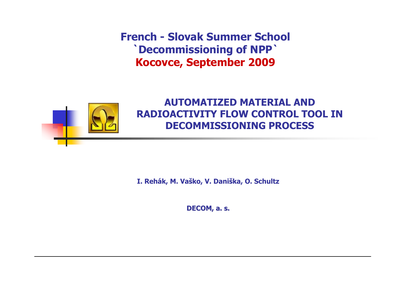French - Slovak Summer School `Decommissioning of NPP` Kocovce, September 2009



#### AUTOMATIZED MATERIAL AND RADIOACTIVITY FLOW CONTROL TOOL IN DECOMMISSIONING PROCESS

I. Rehák, M. Vaško, V. Daniška, O. Schultz

DECOM, a. s.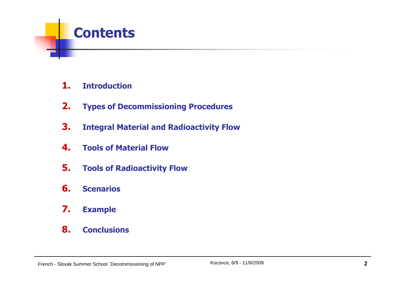

- 1.**Introduction**
- 2.Types of Decommissioning Procedures
- 3.Integral Material and Radioactivity Flow
- 4.Tools of Material Flow
- 5.Tools of Radioactivity Flow
- 6.**Scenarios**
- 7.Example
- 8.**Conclusions**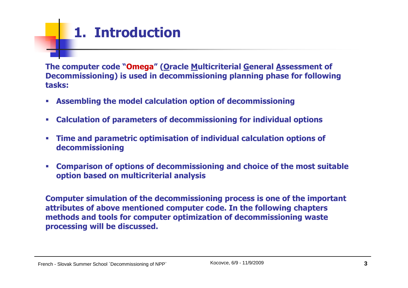# 1. Introduction

The computer code "Omega" (Oracle Multicriterial General Assessment of Decommissioning) is used in decommissioning planning phase for following tasks:

- $\mathcal{C}$ Assembling the model calculation option of decommissioning
- $\mathcal{C}$ Calculation of parameters of decommissioning for individual options
- $\mathcal{C}$  Time and parametric optimisation of individual calculation options of decommissioning
- $\mathcal{C}$  Comparison of options of decommissioning and choice of the most suitable option based on multicriterial analysis

Computer simulation of the decommissioning process is one of the important attributes of above mentioned computer code. In the following chapters methods and tools for computer optimization of decommissioning waste processing will be discussed.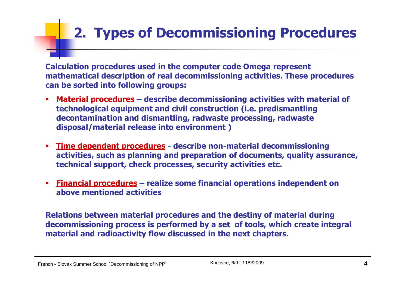# 2. Types of Decommissioning Procedures

Calculation procedures used in the computer code Omega represent mathematical description of real decommissioning activities. These procedures can be sorted into following groups:

- ▉ • <u>Material procedures</u> – describe decommissioning activities with material of  $\blacksquare$ technological equipment and civil construction (i.e. predismantling decontamination and dismantling, radwaste processing, radwaste disposal/material release into environment )
- $\overline{\phantom{a}}$ Time dependent procedures - describe non-material decommissioning<br>activities, such as planning and preparation of documents, quality assu activities, such as planning and preparation of documents, quality assurance, technical support, check processes, security activities etc.
- $\overline{\phantom{a}}$ Financial procedures – realize some financial operations independent on<br>above mentioned activities above mentioned activities

Relations between material procedures and the destiny of material during decommissioning process is performed by a set of tools, which create integral material and radioactivity flow discussed in the next chapters.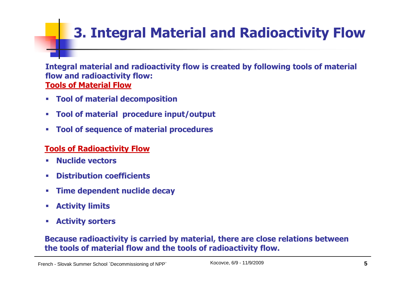# 3. Integral Material and Radioactivity Flow

Integral material and radioactivity flow is created by following tools of material flow and radioactivity flow:Tools of Material Flow

- $\mathcal{C}$ Tool of material decomposition
- $\mathcal{C}$ Tool of material procedure input/output
- $\mathcal{C}$ Tool of sequence of material procedures

#### Tools of Radioactivity Flow

- $\overline{\phantom{a}}$ Nuclide vectors
- $\overline{\phantom{a}}$ Distribution coefficients
- $\mathcal{C}$ Time dependent nuclide decay
- T. Activity limits
- T. Activity sorters

#### Because radioactivity is carried by material, there are close relations betweenthe tools of material flow and the tools of radioactivity flow.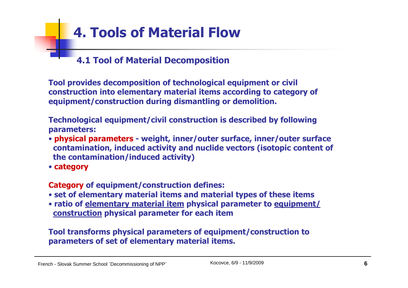### 4.1 Tool of Material Decomposition

Tool provides decomposition of technological equipment or civil construction into elementary material items according to category of equipment/construction during dismantling or demolition.

Technological equipment/civil construction is described by following parameters:

- physical parameters weight, inner/outer surface, inner/outer surface contamination, induced activity and nuclide vectors (isotopic content ofthe contamination/induced activity)
- category

Category of equipment/construction defines:

- set of elementary material items and material types of these items
- ratio of <u>elementary material item</u> physical parameter to <u>equipment/</u><br>Construction physical parameter for each item construction physical parameter for each item

Tool transforms physical parameters of equipment/construction toparameters of set of elementary material items.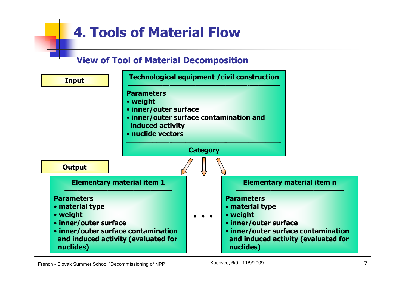#### View of Tool of Material Decomposition

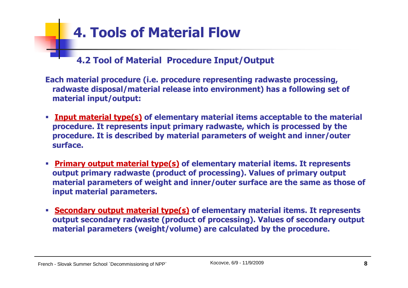4.2 Tool of Material Procedure Input/Output

Each material procedure (i.e. procedure representing radwaste processing, radwaste disposal/material release into environment) has a following set of material input/output:

- **Thout material type(s)** of elementary material items acceptable to the material procedure. It represents input primary radwaste, which is processed by the procedure. It is described by material parameters of weight and inner/outer<br>surface surface.
- $\mathcal{L}_{\mathcal{A}}$  Primary output material type(s) of elementary material items. It represents output primary radwaste (product of processing). Values of primary output material parameters of weight and inner/outer surface are the same as those ofinput material parameters.
- **Secondary output material type(s)** of elementary material items. It represents output secondary radwaste (product of processing). Values of secondary output<br>material narameters (weight/volume) are calculated by the procedure material parameters (weight/volume) are calculated by the procedure.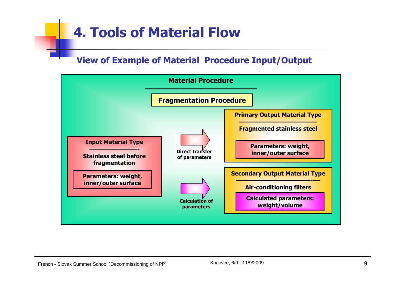#### View of Example of Material Procedure Input/Output

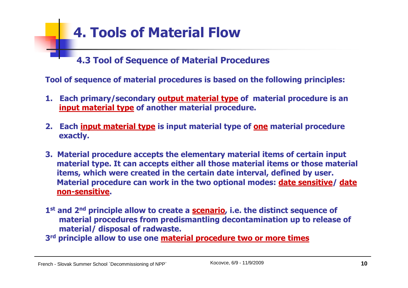4.3 Tool of Sequence of Material Procedures

Tool of sequence of material procedures is based on the following principles:

- 1. Each primary/secondary **output material type** of material procedure is an input material type of another material procedure.
- 2. Each input material type is input material type of <u>one</u> material procedure exactly.
- 3. Material procedure accepts the elementary material items of certain input material type. It can accepts either all those material items or those materialitems, which were created in the certain date interval, defined by user.Material procedure can work in the two optional modes: **date sensitive/ date** non-sensitive.
- 1<sup>st</sup> and 2<sup>nd</sup> principle allow to create a **scenario**, i.e. the distinct sequence of material procedures from predismantling decontamination up to release of material/ disposal of radwaste.
- 3<sup>rd</sup> principle allow to use one <u>material procedure two or more times</u>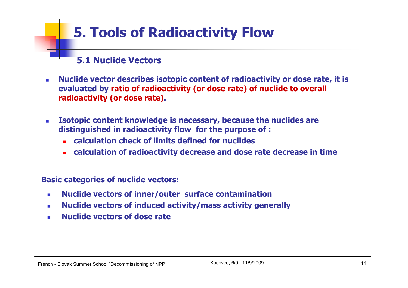### 5.1 Nuclide Vectors

- - Nuclide vector describes isotopic content of radioactivity or dose rate, it is evaluated by ratio of radioactivity (or dose rate) of nuclide to overall radioactivity (or dose rate).
- - Isotopic content knowledge is necessary, because the nuclides are distinguished in radioactivity flow for the purpose of :
	- calculation check of limits defined for nuclides
	- calculation of radioactivity decrease and dose rate decrease in time

Basic categories of nuclide vectors:

- -Nuclide vectors of inner/outer surface contamination
- Nuclide vectors of induced activity/mass activity generally-
- -Nuclide vectors of dose rate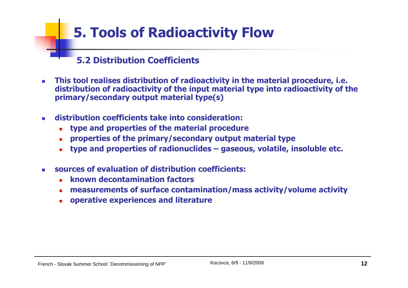### 5.2 Distribution Coefficients

- - This tool realises distribution of radioactivity in the material procedure, i.e. distribution of radioactivity of the input material type into radioactivity of the primary/secondary output material type(s)
- distribution coefficients take into consideration:
	- type and properties of the material procedure
	- properties of the primary/secondary output material type-
	- type and properties of radionuclides gaseous, volatile, insoluble etc. -
- sources of evaluation of distribution coefficients:
	- known decontamination factors
	- measurements of surface contamination/mass activity/volume activity-
	- operative experiences and literature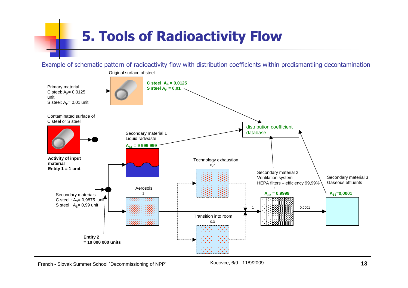Example of schematic pattern of radioactivity flow with distribution coefficients within predismantling decontamination

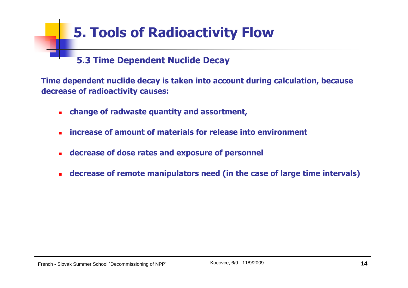#### 5.3 Time Dependent Nuclide Decay

Time dependent nuclide decay is taken into account during calculation, becausedecrease of radioactivity causes:

- change of radwaste quantity and assortment,
- increase of amount of materials for release into environment
- decrease of dose rates and exposure of personnel
- decrease of remote manipulators need (in the case of large time intervals)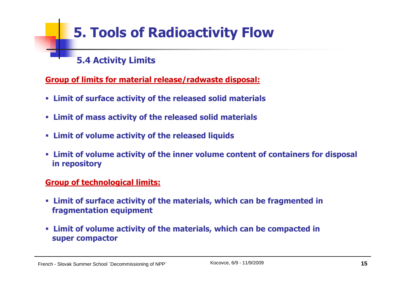### 5.4 Activity Limits

#### Group of limits for material release/radwaste disposal:

- Limit of surface activity of the released solid materials
- Limit of mass activity of the released solid materials
- Limit of volume activity of the released liquids
- Limit of volume activity of the inner volume content of containers for disposal in repository

#### Group of technological limits:

- Limit of surface activity of the materials, which can be fragmented infragmentation equipment
- Limit of volume activity of the materials, which can be compacted insuper compactor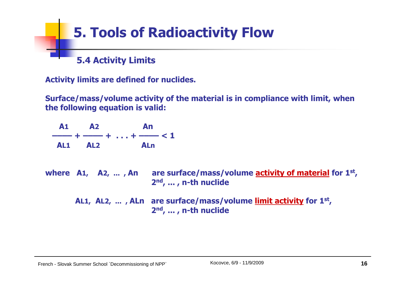

Activity limits are defined for nuclides.

Surface/mass/volume activity of the material is in compliance with limit, when the following equation is valid:

A1 <sup>A</sup><sup>2</sup> An –––– + –––– + . . . + –––– < 1 AL1 <sup>A</sup>L2 <sup>A</sup>Lnwhere A1, A2, ..., An , A2, … , An are surface/mass/volume <u>activity of material</u> for 1<sup>st</sup>, 2nd, ... , n-th nuclideAL1, AL2, ..., ALn are surface/mass/volume limit activity for 1<sup>st</sup>, 2nd, ... , n-th nuclide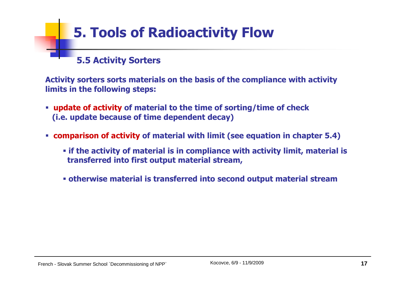### 5.5 Activity Sorters

Activity sorters sorts materials on the basis of the compliance with activity limits in the following steps:

- **update of activity of material to the time of sorting/time of check** (i.e. update because of time dependent decay)
- comparison of activity of material with limit (see equation in chapter 5.4)
	- if the activity of material is in compliance with activity limit, material istransferred into first output material stream,
	- otherwise material is transferred into second output material stream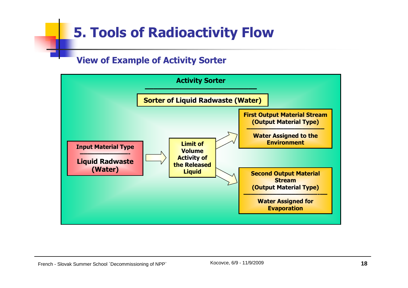#### View of Example of Activity Sorter

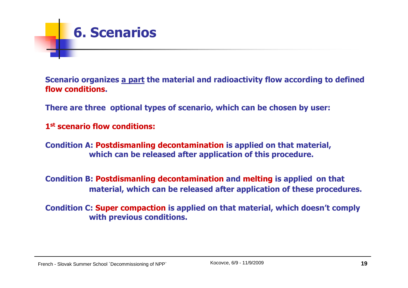

Scenario organizes <u>a part</u> the material and radioactivity flow according to defined flow conditions.

There are three optional types of scenario, which can be chosen by user:

1st scenario flow conditions:

Condition A: Postdismanling decontamination is applied on that material, which can be released after application of this procedure.

Condition B: Postdismanling decontamination and melting is applied on that<br>material which can be released after application of these presed: material, which can be released after application of these procedures.

Condition C: Super compaction is applied on that material, which doesn't comply with previous conditions.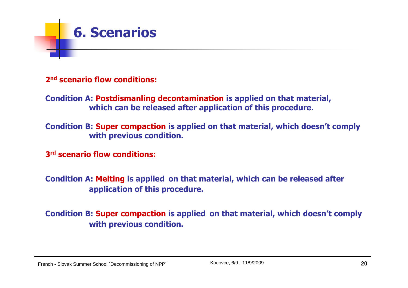

#### 2<sup>nd</sup> scenario flow conditions:

Condition A: Postdismanling decontamination is applied on that material, which can be released after application of this procedure.

Condition B: Super compaction is applied on that material, which doesn't comply with previous condition.

3<sup>rd</sup> scenario flow conditions:

Condition A: Melting is applied on that material, which can be released after<br>conditional is this presedure application of this procedure.

Condition B: Super compaction is applied on that material, which doesn't comply with previous condition.

French - Slovak Summer School `Decommissioning of NPP`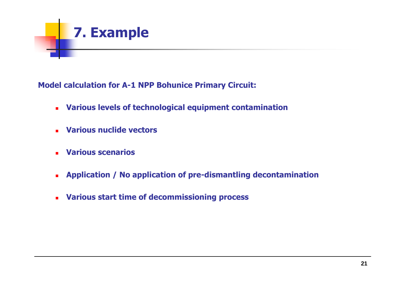

Model calculation for A-1 NPP Bohunice Primary Circuit:

- Various levels of technological equipment contamination
- Various nuclide vectors
- Various scenarios
- Application / No application of pre-dismantling decontamination
- Various start time of decommissioning process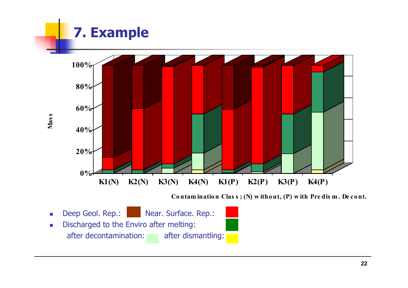